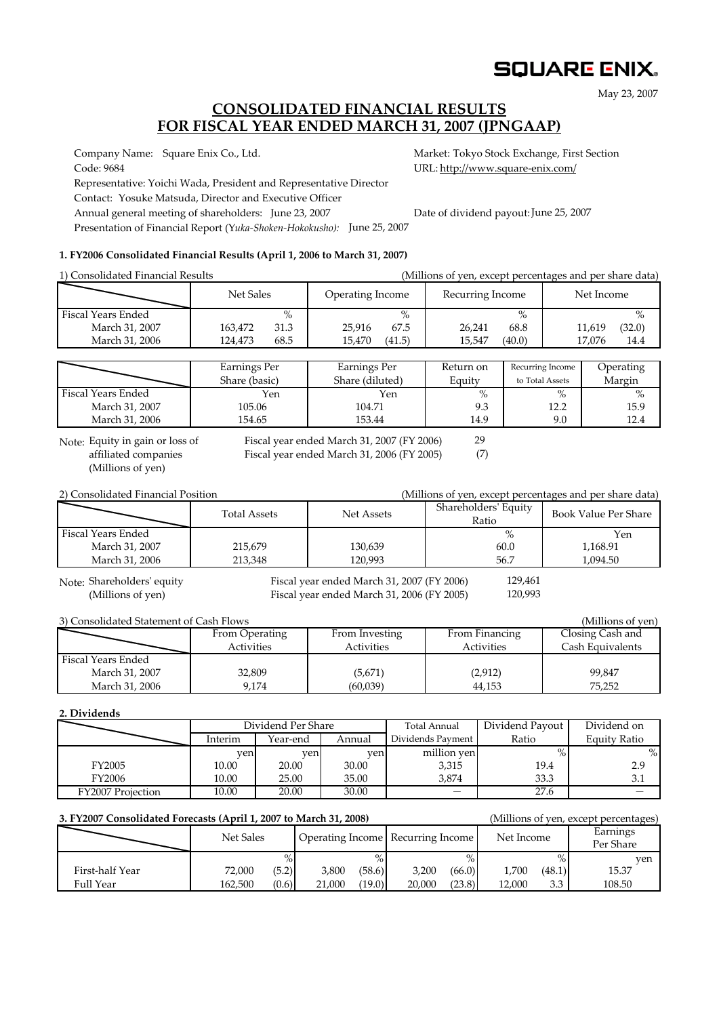# **SQUARE ENIX.**

May 23, 2007

## **CONSOLIDATED FINANCIAL RESULTS FOR FISCAL YEAR ENDED MARCH 31, 2007 (JPNGAAP)**

Company Name: Square Enix Co., Ltd. Market: Tokyo Stock Exchange, First Section

Code: 9684 URL: http://www.square-enix.com/

Representative: Yoichi Wada, President and Representative Director Contact: Yosuke Matsuda, Director and Executive Officer

Annual general meeting of shareholders: June 23, 2007

Presentation of Financial Report (Y*uka‐Shoken‐Hokokusho):* June 25, 2007

### **1. FY2006 Consolidated Financial Results (April 1, 2006 to March 31, 2007)**

| 1) Consolidated Financial Results |                                       |                                 | (Millions of yen, except percentages and per share data) |                  |                  |  |  |
|-----------------------------------|---------------------------------------|---------------------------------|----------------------------------------------------------|------------------|------------------|--|--|
|                                   | Net Sales                             | Operating Income                | Recurring Income                                         |                  | Net Income       |  |  |
| Fiscal Years Ended                | $\%$                                  | $\%$                            |                                                          | $\%$             | $\%$             |  |  |
| March 31, 2007                    | 163,472<br>31.3                       | 67.5<br>25.916                  | 26,241                                                   | 68.8             | (32.0)<br>11,619 |  |  |
| March 31, 2006                    | 68.5<br>124,473                       | 15,470<br>(41.5)                | 15,547<br>(40.0)                                         |                  | 17,076<br>14.4   |  |  |
|                                   |                                       |                                 |                                                          |                  |                  |  |  |
|                                   | Earnings Per                          | Earnings Per                    | Return on                                                | Recurring Income | Operating        |  |  |
|                                   | Share (basic)                         | Share (diluted)                 | Equity                                                   | to Total Assets  | Margin           |  |  |
| Fiscal Years Ended                | Yen                                   | Yen                             | $\%$                                                     | $\%$             | $\%$             |  |  |
| March 31, 2007                    | 105.06                                | 104.71                          | 9.3                                                      | 12.2             | 15.9             |  |  |
| March 31, 2006                    | 154.65                                | 153.44                          | 14.9                                                     | 9.0              | 12.4             |  |  |
|                                   | $\mathbf{r}$ . The state $\mathbf{r}$ | $1.135$ $1.04$ 0.000 $(0.1200)$ | $\sim$                                                   |                  |                  |  |  |

(Millions of yen) Note: Equity in gain or loss of

Equity in gain or loss of Fiscal year ended March 31, 2007 (FY 2006)<br>
Fiscal year ended March 31, 2006 (FY 2005)

(7)

2) Consolidated Financial Position (Millions of yen, except percentages and per share data)

|                    | <b>Total Assets</b> | Net Assets | Shareholders' Equity<br>Ratio | <b>Book Value Per Share</b> |
|--------------------|---------------------|------------|-------------------------------|-----------------------------|
| Fiscal Years Ended |                     |            |                               | Yen                         |
| March 31, 2007     | 215.679             | 130,639    | 60.0                          | 1.168.91                    |
| March 31, 2006     | 213.348             | 120.993    | 56.7                          | .094.50                     |

Note: Shareholders' equity

Fiscal year ended March 31, 2007 (FY 2006) (Millions of yen) Fiscal year ended March 31, 2006 (FY 2005)

129,461 120,993

| 3) Consolidated Statement of Cash Flows<br>(Millions of yen) |                |                   |                |                  |  |  |  |  |  |  |
|--------------------------------------------------------------|----------------|-------------------|----------------|------------------|--|--|--|--|--|--|
|                                                              | From Operating | From Investing    | From Financing | Closing Cash and |  |  |  |  |  |  |
|                                                              | Activities     | <b>Activities</b> | Activities     | Cash Equivalents |  |  |  |  |  |  |
| Fiscal Years Ended                                           |                |                   |                |                  |  |  |  |  |  |  |
| March 31, 2007                                               | 32,809         | (5,671)           | (2,912)        | 99,847           |  |  |  |  |  |  |
| March 31, 2006                                               | 9.174          | (60,039)          | 44.153         | 75,252           |  |  |  |  |  |  |

**2. Dividends**

|                          | Dividend Per Share |          |        | Total Annual             | Dividend Payout | Dividend on         |
|--------------------------|--------------------|----------|--------|--------------------------|-----------------|---------------------|
|                          | Interim            | Year-end | Annual | Dividends Payment        | Ratio           | <b>Equity Ratio</b> |
|                          | ven                | ven      | ven    | million ven              | O/              | $\%$                |
| FY2005                   | 10.00              | 20.00    | 30.00  | 3,315                    | 19.4            | 2.9                 |
| FY2006                   | 10.00              | 25.00    | 35.00  | 3.874                    | 33.3            | 3.1                 |
| <b>FY2007 Projection</b> | 10.00              | 20.00    | 30.00  | $\overline{\phantom{0}}$ | 27.6            |                     |

| 3. FY2007 Consolidated Forecasts (April 1, 2007 to March 31, 2008) | (Millions of yen, except percentages) |       |        |        |                                   |        |            |        |                       |
|--------------------------------------------------------------------|---------------------------------------|-------|--------|--------|-----------------------------------|--------|------------|--------|-----------------------|
|                                                                    | Net Sales                             |       |        |        | Operating Income Recurring Income |        | Net Income |        | Earnings<br>Per Share |
|                                                                    |                                       |       |        |        |                                   |        |            | $\%$   | ven                   |
| First-half Year                                                    | 72.000                                | (5.2) | 3.800  | (58.6) | 3.200                             | (66.0) | 1.700      | (48.1) | 15.37                 |
| Full Year                                                          | 162.500                               | (0.6) | 21,000 | (19.0) | 20,000                            | (23.8) | 12.000     | 3.3    | 108.50                |

### Date of dividend payout: June 25, 2007

29

Fiscal year ended March 31, 2006 (FY 2005)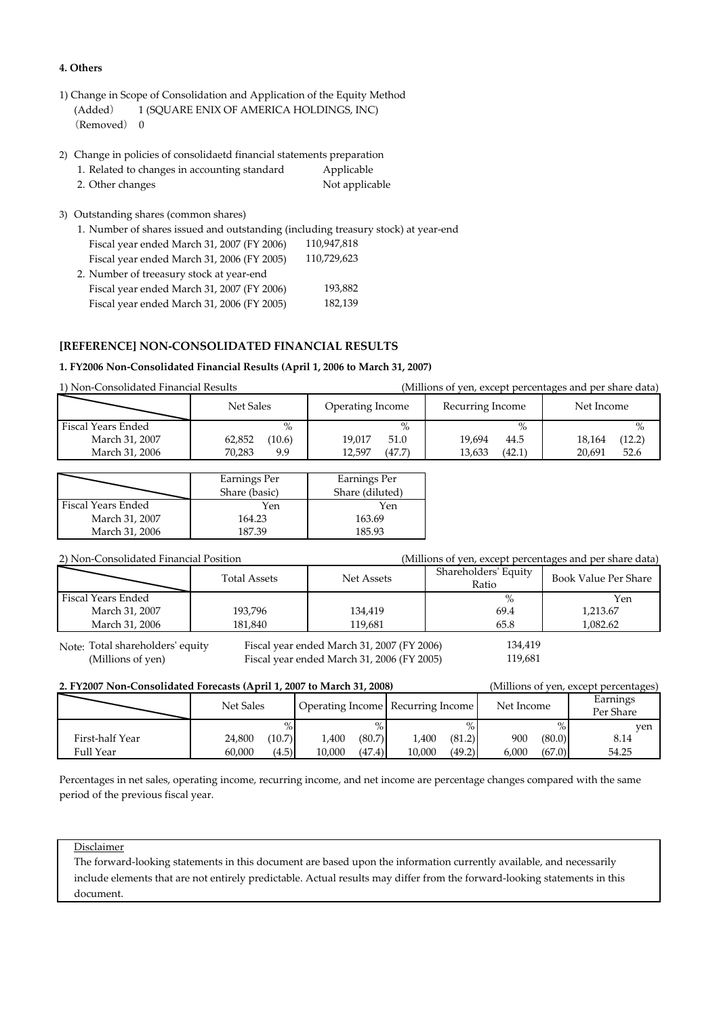#### **4. Others**

- 1) Change in Scope of Consolidation and Application of the Equity Method (Added) 1 (SQUARE ENIX OF AMERICA HOLDINGS, INC) (Removed) 0
- 2) Change in policies of consolidaetd financial statements preparation

| 1. Related to changes in accounting standard | Applicable     |
|----------------------------------------------|----------------|
| 2. Other changes                             | Not applicable |

3) Outstanding shares (common shares)

1. Number of shares issued and outstanding (including treasury stock) at year‐end Fiscal year ended March 31, 2007 (FY 2006) Fiscal year ended March 31, 2006 (FY 2005) 2. Number of treeasury stock at year‐end Fiscal year ended March 31, 2007 (FY 2006) Fiscal year ended March 31, 2006 (FY 2005) 110,729,623 193,882 182,139 110,947,818

### **[REFERENCE] NON‐CONSOLIDATED FINANCIAL RESULTS**

#### **1. FY2006 Non‐Consolidated Financial Results (April 1, 2006 to March 31, 2007)**

1) Non‐Consolidated Financial Results (Millions of yen, except percentages and per share data)

|                    | Net Sales | Operating Income | Recurring Income | Net Income |  |  |
|--------------------|-----------|------------------|------------------|------------|--|--|
| Fiscal Years Ended | $\%$      | $\%$             | $\%$             |            |  |  |
| March 31, 2007     | 62,852    | 19.017           | 19.694           | 18.164     |  |  |
|                    | (10.6)    | 51.0             | 44.5             | (12.2)     |  |  |
| March 31, 2006     | 70.283    | 12.597           | 13,633           | 20.691     |  |  |
|                    | 9.9       | (47.7)           | (42.1)           | 52.6       |  |  |

|                    | Earnings Per  | Earnings Per    |
|--------------------|---------------|-----------------|
|                    | Share (basic) | Share (diluted) |
| Fiscal Years Ended | Yen           | Yen             |
| March 31, 2007     | 164.23        | 163.69          |
| March 31, 2006     | 187.39        | 185 93          |

| 2) Non-Consolidated Financial Position |                     |            | (Millions of yen, except percentages and per share data) |                             |  |  |  |
|----------------------------------------|---------------------|------------|----------------------------------------------------------|-----------------------------|--|--|--|
|                                        | <b>Total Assets</b> | Net Assets | Shareholders' Equity<br>Ratio                            | <b>Book Value Per Share</b> |  |  |  |
| Fiscal Years Ended                     |                     |            | $\%$                                                     | Yen                         |  |  |  |
| March 31, 2007                         | 193,796             | 134,419    | 69.4                                                     | 1,213.67                    |  |  |  |
| March 31, 2006                         | 181.840             | 119.681    | 65.8                                                     | 1.082.62                    |  |  |  |
|                                        |                     |            |                                                          |                             |  |  |  |

Fiscal year ended March 31, 2007 (FY 2006) (Millions of yen) Fiscal year ended March 31, 2006 (FY 2005) Note: Total shareholders' equity

119,681 134,419

| 2. FY2007 Non-Consolidated Forecasts (April 1, 2007 to March 31, 2008)<br>(Millions of yen, except percentages) |           |        |        |        |                                     |        |            |        |                       |  |  |
|-----------------------------------------------------------------------------------------------------------------|-----------|--------|--------|--------|-------------------------------------|--------|------------|--------|-----------------------|--|--|
|                                                                                                                 | Net Sales |        |        |        | Operating Income   Recurring Income |        | Net Income |        | Earnings<br>Per Share |  |  |
|                                                                                                                 |           |        |        |        |                                     |        |            | $\%$ . | ven                   |  |  |
| First-half Year                                                                                                 | 24.800    | (10.7) | 1,400  | (80.7) | 1.400                               | (81.2) | 900        | (80.0) | 8.14                  |  |  |
| Full Year                                                                                                       | 60.000    | (4.5)  | 10,000 | (47.4) | 10.000                              | (49.2) | 6.000      | (67.0) | 54.25                 |  |  |

Percentages in net sales, operating income, recurring income, and net income are percentage changes compared with the same period of the previous fiscal year.

#### Disclaimer

The forward-looking statements in this document are based upon the information currently available, and necessarily include elements that are not entirely predictable. Actual results may differ from the forward-looking statements in this document.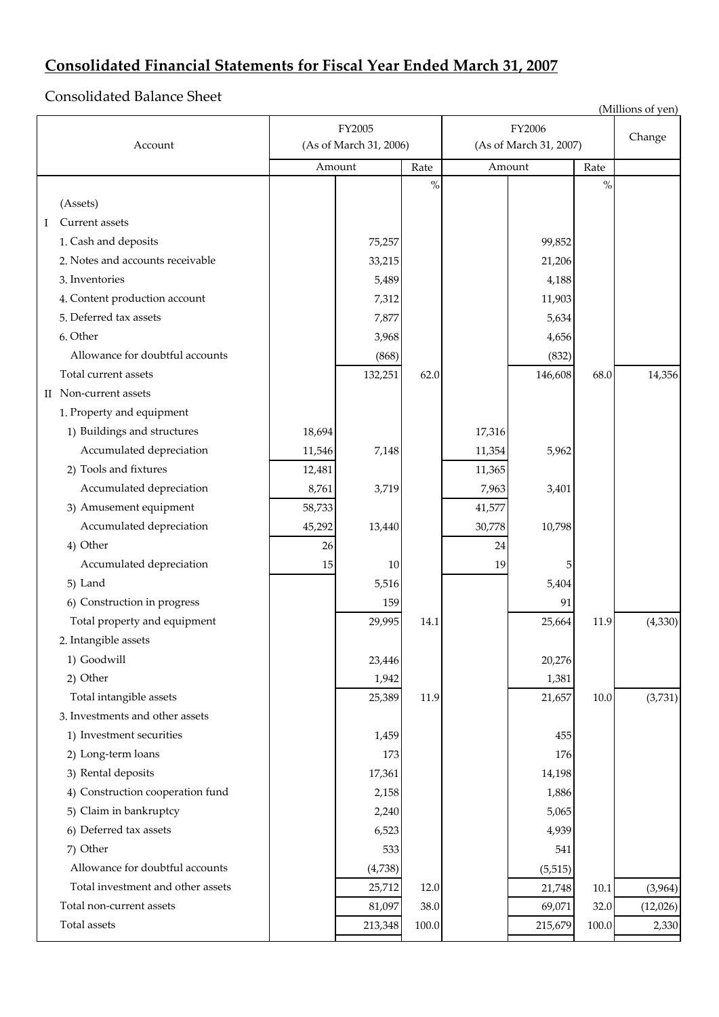# **Consolidated Financial Statements for Fiscal Year Ended March 31, 2007**

Consolidated Balance Sheet

|   |                                   | (Millions of yen) |                        |       |        |                        |           |          |
|---|-----------------------------------|-------------------|------------------------|-------|--------|------------------------|-----------|----------|
|   |                                   |                   | FY2005                 |       |        | FY2006                 |           |          |
|   | Account                           |                   | (As of March 31, 2006) |       |        | (As of March 31, 2007) |           | Change   |
|   |                                   |                   | Amount                 | Rate  |        | Amount                 | Rate      |          |
|   |                                   |                   |                        | $\%$  |        |                        | $\%$      |          |
|   | (Assets)                          |                   |                        |       |        |                        |           |          |
| Ι | Current assets                    |                   |                        |       |        |                        |           |          |
|   | 1. Cash and deposits              |                   | 75,257                 |       |        | 99,852                 |           |          |
|   | 2. Notes and accounts receivable  |                   | 33,215                 |       |        | 21,206                 |           |          |
|   | 3. Inventories                    |                   | 5,489                  |       |        | 4,188                  |           |          |
|   | 4. Content production account     |                   | 7,312                  |       |        | 11,903                 |           |          |
|   | 5. Deferred tax assets            |                   | 7,877                  |       |        | 5,634                  |           |          |
|   | 6. Other                          |                   | 3,968                  |       |        | 4,656                  |           |          |
|   | Allowance for doubtful accounts   |                   | (868)                  |       |        | (832)                  |           |          |
|   | Total current assets              |                   | 132,251                | 62.0  |        | 146,608                | 68.0      | 14,356   |
|   | II Non-current assets             |                   |                        |       |        |                        |           |          |
|   | 1. Property and equipment         |                   |                        |       |        |                        |           |          |
|   | 1) Buildings and structures       | 18,694            |                        |       | 17,316 |                        |           |          |
|   | Accumulated depreciation          | 11,546            | 7,148                  |       | 11,354 | 5,962                  |           |          |
|   | 2) Tools and fixtures             | 12,481            |                        |       | 11,365 |                        |           |          |
|   | Accumulated depreciation          | 8,761             | 3,719                  |       | 7,963  | 3,401                  |           |          |
|   | 3) Amusement equipment            | 58,733            |                        |       | 41,577 |                        |           |          |
|   | Accumulated depreciation          | 45,292            | 13,440                 |       | 30,778 | 10,798                 |           |          |
|   | 4) Other                          | 26                |                        |       | 24     |                        |           |          |
|   | Accumulated depreciation          | 15                | 10                     |       | 19     | 5                      |           |          |
|   | 5) Land                           |                   | 5,516                  |       |        | 5,404                  |           |          |
|   | 6) Construction in progress       |                   | 159                    |       |        | 91                     |           |          |
|   | Total property and equipment      |                   | 29,995                 | 14.1  |        | 25,664                 | 11.9      | (4,330)  |
|   | 2. Intangible assets              |                   |                        |       |        |                        |           |          |
|   | 1) Goodwill                       |                   | 23,446                 |       |        | 20,276                 |           |          |
|   | 2) Other                          |                   | 1,942                  |       |        | 1,381                  |           |          |
|   | Total intangible assets           |                   | 25,389                 | 11.9  |        | 21,657                 | 10.0      | (3,731)  |
|   | 3. Investments and other assets   |                   |                        |       |        |                        |           |          |
|   | 1) Investment securities          |                   | 1,459                  |       |        | 455                    |           |          |
|   | 2) Long-term loans                |                   | 173                    |       |        | 176                    |           |          |
|   | 3) Rental deposits                |                   | 17,361                 |       |        | 14,198                 |           |          |
|   | 4) Construction cooperation fund  |                   | 2,158                  |       |        | 1,886                  |           |          |
|   | 5) Claim in bankruptcy            |                   | 2,240                  |       |        | 5,065                  |           |          |
|   | 6) Deferred tax assets            |                   | 6,523                  |       |        | 4,939                  |           |          |
|   | 7) Other                          |                   | 533                    |       |        | 541                    |           |          |
|   | Allowance for doubtful accounts   |                   | (4,738)                |       |        | (5, 515)               |           |          |
|   | Total investment and other assets |                   | 25,712                 | 12.0  |        | 21,748                 | $10.1\,$  | (3,964)  |
|   | Total non-current assets          |                   | 81,097                 | 38.0  |        | 69,071                 | 32.0      | (12,026) |
|   | Total assets                      |                   | 213,348                | 100.0 |        | 215,679                | $100.0\,$ | 2,330    |
|   |                                   |                   |                        |       |        |                        |           |          |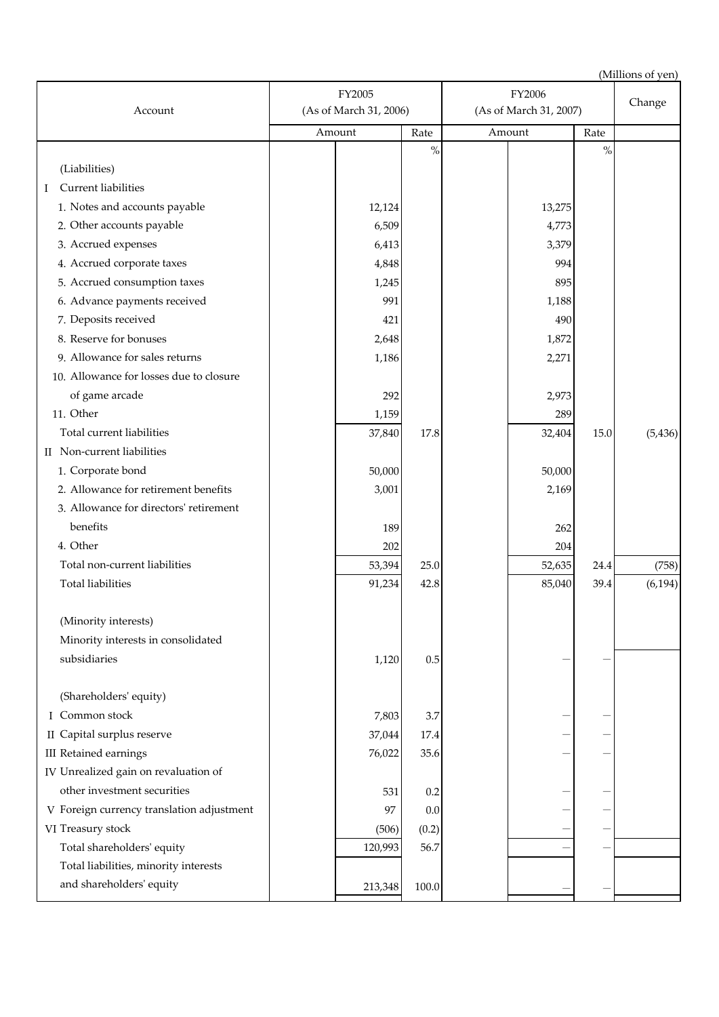| Account                                   | FY2005<br>(As of March 31, 2006) |         |         | FY2006<br>(As of March 31, 2007) |        |      | Change   |
|-------------------------------------------|----------------------------------|---------|---------|----------------------------------|--------|------|----------|
|                                           |                                  | Amount  | Rate    |                                  | Amount | Rate |          |
|                                           |                                  |         | $\%$    |                                  |        | $\%$ |          |
| (Liabilities)                             |                                  |         |         |                                  |        |      |          |
| Current liabilities<br>Ι                  |                                  |         |         |                                  |        |      |          |
| 1. Notes and accounts payable             |                                  | 12,124  |         |                                  | 13,275 |      |          |
| 2. Other accounts payable                 |                                  | 6,509   |         |                                  | 4,773  |      |          |
| 3. Accrued expenses                       |                                  | 6,413   |         |                                  | 3,379  |      |          |
| 4. Accrued corporate taxes                |                                  | 4,848   |         |                                  | 994    |      |          |
| 5. Accrued consumption taxes              |                                  | 1,245   |         |                                  | 895    |      |          |
| 6. Advance payments received              |                                  | 991     |         |                                  | 1,188  |      |          |
| 7. Deposits received                      |                                  | 421     |         |                                  | 490    |      |          |
| 8. Reserve for bonuses                    |                                  | 2,648   |         |                                  | 1,872  |      |          |
| 9. Allowance for sales returns            |                                  | 1,186   |         |                                  | 2,271  |      |          |
| 10. Allowance for losses due to closure   |                                  |         |         |                                  |        |      |          |
| of game arcade                            |                                  | 292     |         |                                  | 2,973  |      |          |
| 11. Other                                 |                                  | 1,159   |         |                                  | 289    |      |          |
| Total current liabilities                 |                                  | 37,840  | 17.8    |                                  | 32,404 | 15.0 | (5, 436) |
| II Non-current liabilities                |                                  |         |         |                                  |        |      |          |
| 1. Corporate bond                         |                                  | 50,000  |         |                                  | 50,000 |      |          |
| 2. Allowance for retirement benefits      |                                  | 3,001   |         |                                  | 2,169  |      |          |
| 3. Allowance for directors' retirement    |                                  |         |         |                                  |        |      |          |
| benefits                                  |                                  | 189     |         |                                  | 262    |      |          |
| 4. Other                                  |                                  | 202     |         |                                  | 204    |      |          |
| Total non-current liabilities             |                                  | 53,394  | 25.0    |                                  | 52,635 | 24.4 | (758)    |
| <b>Total liabilities</b>                  |                                  | 91,234  | 42.8    |                                  | 85,040 | 39.4 | (6, 194) |
|                                           |                                  |         |         |                                  |        |      |          |
| (Minority interests)                      |                                  |         |         |                                  |        |      |          |
| Minority interests in consolidated        |                                  |         |         |                                  |        |      |          |
| subsidiaries                              |                                  | 1,120   | $0.5\,$ |                                  |        |      |          |
| (Shareholders' equity)                    |                                  |         |         |                                  |        |      |          |
| I Common stock                            |                                  | 7,803   | 3.7     |                                  |        |      |          |
| II Capital surplus reserve                |                                  | 37,044  | 17.4    |                                  |        |      |          |
| <b>III</b> Retained earnings              |                                  | 76,022  | 35.6    |                                  |        |      |          |
| IV Unrealized gain on revaluation of      |                                  |         |         |                                  |        |      |          |
| other investment securities               |                                  | 531     | 0.2     |                                  |        |      |          |
| V Foreign currency translation adjustment |                                  | 97      | 0.0     |                                  |        |      |          |
| VI Treasury stock                         |                                  | (506)   | (0.2)   |                                  |        |      |          |
| Total shareholders' equity                |                                  | 120,993 | 56.7    |                                  |        |      |          |
| Total liabilities, minority interests     |                                  |         |         |                                  |        |      |          |
| and shareholders' equity                  |                                  | 213,348 | 100.0   |                                  |        |      |          |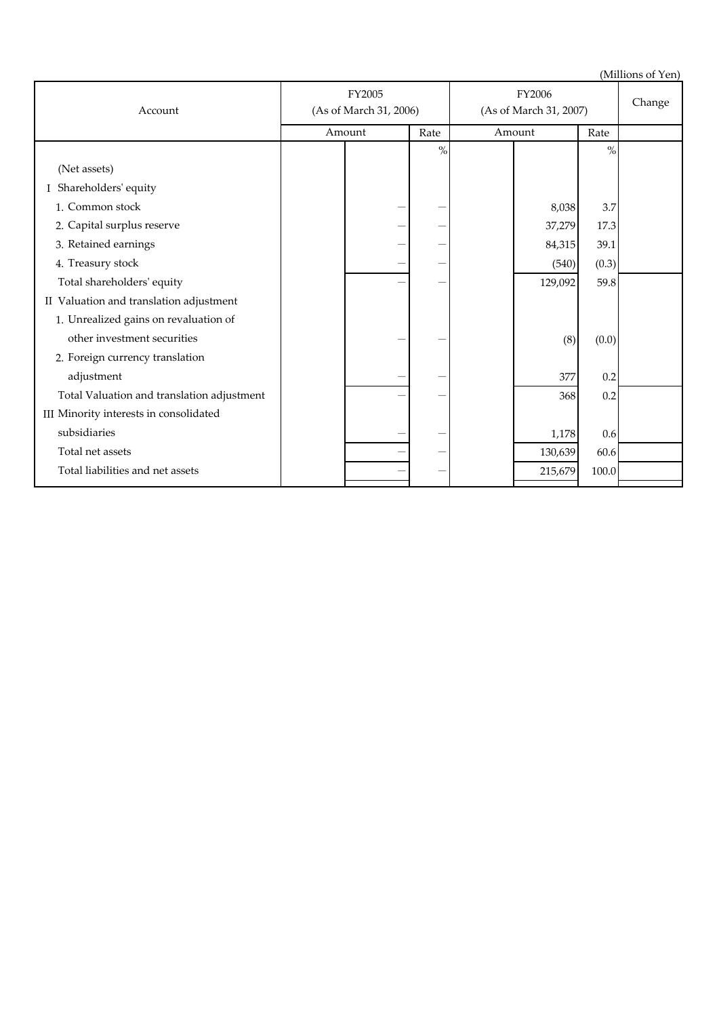| Account                                    | FY2005<br>(As of March 31, 2006) |        | FY2006<br>(As of March 31, 2007) |  |         | Change |  |
|--------------------------------------------|----------------------------------|--------|----------------------------------|--|---------|--------|--|
|                                            |                                  | Amount | Rate                             |  | Amount  | Rate   |  |
|                                            |                                  |        | $\%$                             |  |         | $\%$   |  |
| (Net assets)                               |                                  |        |                                  |  |         |        |  |
| Shareholders' equity                       |                                  |        |                                  |  |         |        |  |
| 1. Common stock                            |                                  | -      |                                  |  | 8,038   | 3.7    |  |
| 2. Capital surplus reserve                 |                                  |        |                                  |  | 37,279  | 17.3   |  |
| 3. Retained earnings                       |                                  |        |                                  |  | 84,315  | 39.1   |  |
| 4. Treasury stock                          |                                  |        |                                  |  | (540)   | (0.3)  |  |
| Total shareholders' equity                 |                                  |        |                                  |  | 129,092 | 59.8   |  |
| II Valuation and translation adjustment    |                                  |        |                                  |  |         |        |  |
| 1. Unrealized gains on revaluation of      |                                  |        |                                  |  |         |        |  |
| other investment securities                |                                  |        |                                  |  | (8)     | (0.0)  |  |
| 2. Foreign currency translation            |                                  |        |                                  |  |         |        |  |
| adjustment                                 |                                  |        |                                  |  | 377     | 0.2    |  |
| Total Valuation and translation adjustment |                                  |        |                                  |  | 368     | 0.2    |  |
| III Minority interests in consolidated     |                                  |        |                                  |  |         |        |  |
| subsidiaries                               |                                  |        |                                  |  | 1,178   | 0.6    |  |
| Total net assets                           |                                  |        |                                  |  | 130,639 | 60.6   |  |
| Total liabilities and net assets           |                                  |        |                                  |  | 215,679 | 100.0  |  |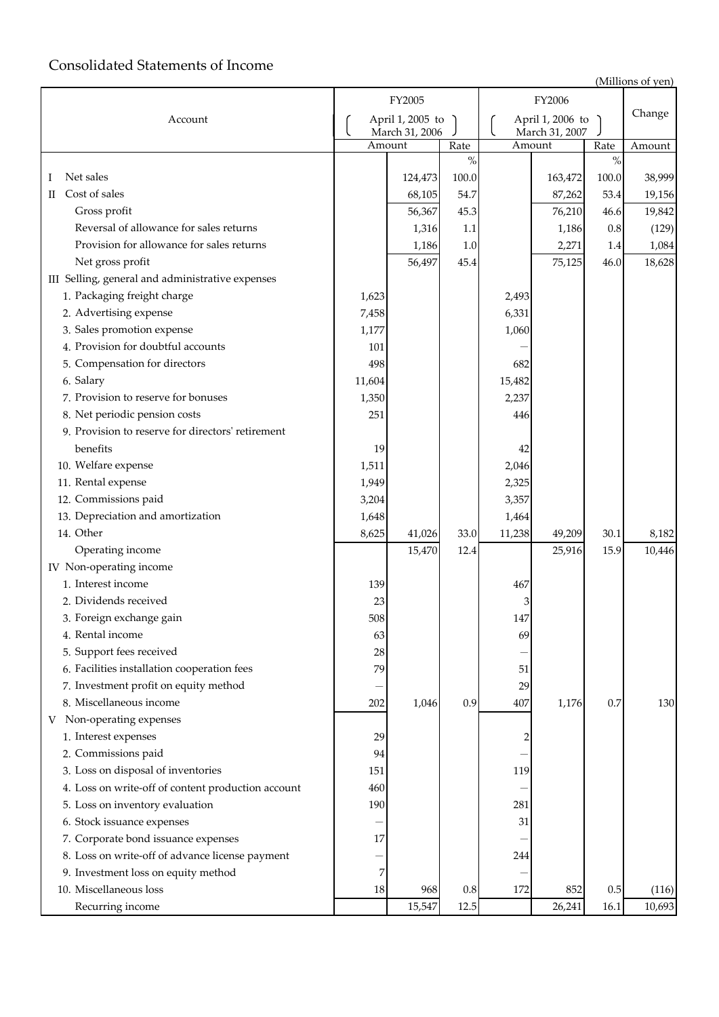# Consolidated Statements of Income

|                                                    |                                      | FY2005  |                                    |        | FY2006  |        |        |
|----------------------------------------------------|--------------------------------------|---------|------------------------------------|--------|---------|--------|--------|
| Account                                            | April 1, 2005 to )<br>March 31, 2006 |         | April 1, 2006 to<br>March 31, 2007 |        |         | Change |        |
|                                                    |                                      | Amount  | Rate                               |        | Amount  | Rate   | Amount |
|                                                    |                                      |         | $\%$                               |        |         | $\%$   |        |
| Net sales<br>Ι                                     |                                      | 124,473 | 100.0                              |        | 163,472 | 100.0  | 38,999 |
| Cost of sales<br>П                                 |                                      | 68,105  | 54.7                               |        | 87,262  | 53.4   | 19,156 |
| Gross profit                                       |                                      | 56,367  | 45.3                               |        | 76,210  | 46.6   | 19,842 |
| Reversal of allowance for sales returns            |                                      | 1,316   | 1.1                                |        | 1,186   | 0.8    | (129)  |
| Provision for allowance for sales returns          |                                      | 1,186   | 1.0                                |        | 2,271   | 1.4    | 1,084  |
| Net gross profit                                   |                                      | 56,497  | 45.4                               |        | 75,125  | 46.0   | 18,628 |
| III Selling, general and administrative expenses   |                                      |         |                                    |        |         |        |        |
| 1. Packaging freight charge                        | 1,623                                |         |                                    | 2,493  |         |        |        |
| 2. Advertising expense                             | 7,458                                |         |                                    | 6,331  |         |        |        |
| 3. Sales promotion expense                         | 1,177                                |         |                                    | 1,060  |         |        |        |
| 4. Provision for doubtful accounts                 | 101                                  |         |                                    |        |         |        |        |
| 5. Compensation for directors                      | 498                                  |         |                                    | 682    |         |        |        |
| 6. Salary                                          | 11,604                               |         |                                    | 15,482 |         |        |        |
| 7. Provision to reserve for bonuses                | 1,350                                |         |                                    | 2,237  |         |        |        |
| 8. Net periodic pension costs                      | 251                                  |         |                                    | 446    |         |        |        |
| 9. Provision to reserve for directors' retirement  |                                      |         |                                    |        |         |        |        |
| benefits                                           | 19                                   |         |                                    | 42     |         |        |        |
| 10. Welfare expense                                | 1,511                                |         |                                    | 2,046  |         |        |        |
| 11. Rental expense                                 | 1,949                                |         |                                    | 2,325  |         |        |        |
| 12. Commissions paid                               | 3,204                                |         |                                    | 3,357  |         |        |        |
| 13. Depreciation and amortization                  | 1,648                                |         |                                    | 1,464  |         |        |        |
| 14. Other                                          | 8,625                                | 41,026  | 33.0                               | 11,238 | 49,209  | 30.1   | 8,182  |
| Operating income                                   |                                      | 15,470  | 12.4                               |        | 25,916  | 15.9   | 10,446 |
| IV Non-operating income                            |                                      |         |                                    |        |         |        |        |
| 1. Interest income                                 | 139                                  |         |                                    | 467    |         |        |        |
| 2. Dividends received                              | 23                                   |         |                                    | 3      |         |        |        |
| 3. Foreign exchange gain                           | 508                                  |         |                                    | 147    |         |        |        |
| 4. Rental income                                   | 63                                   |         |                                    | 69     |         |        |        |
| 5. Support fees received                           | 28                                   |         |                                    |        |         |        |        |
| 6. Facilities installation cooperation fees        | 79                                   |         |                                    | 51     |         |        |        |
| 7. Investment profit on equity method              |                                      |         |                                    | 29     |         |        |        |
| 8. Miscellaneous income                            | 202                                  | 1,046   | 0.9                                | 407    | 1,176   | 0.7    | 130    |
| Non-operating expenses<br>V                        |                                      |         |                                    |        |         |        |        |
| 1. Interest expenses                               | 29                                   |         |                                    |        |         |        |        |
| 2. Commissions paid                                | 94                                   |         |                                    |        |         |        |        |
| 3. Loss on disposal of inventories                 | 151                                  |         |                                    | 119    |         |        |        |
| 4. Loss on write-off of content production account | 460                                  |         |                                    |        |         |        |        |
| 5. Loss on inventory evaluation                    | 190                                  |         |                                    | 281    |         |        |        |
| 6. Stock issuance expenses                         |                                      |         |                                    | 31     |         |        |        |
| 7. Corporate bond issuance expenses                | 17                                   |         |                                    |        |         |        |        |
| 8. Loss on write-off of advance license payment    |                                      |         |                                    | 244    |         |        |        |
| 9. Investment loss on equity method                | 7                                    |         |                                    |        |         |        |        |
| 10. Miscellaneous loss                             | 18                                   | 968     | 0.8                                | 172    | 852     | 0.5    | (116)  |
| Recurring income                                   |                                      | 15,547  | 12.5                               |        | 26,241  | 16.1   | 10,693 |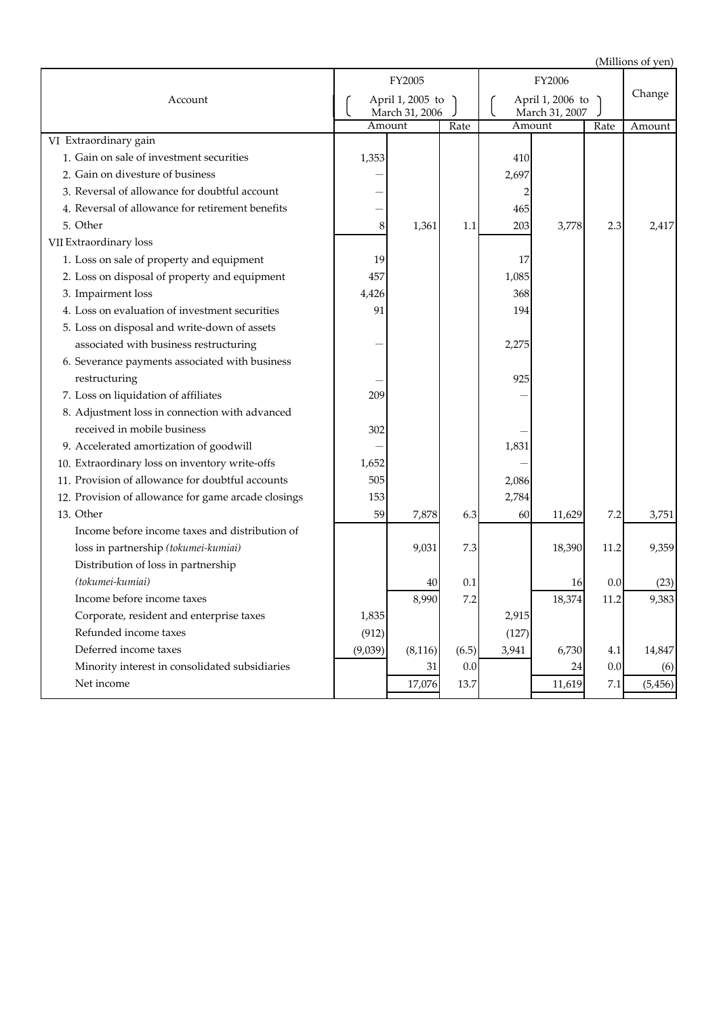|                                                     |         | FY2005                             |         |                                    | FY2006 |         |          |
|-----------------------------------------------------|---------|------------------------------------|---------|------------------------------------|--------|---------|----------|
| Account                                             |         | April 1, 2005 to<br>March 31, 2006 |         | April 1, 2006 to<br>March 31, 2007 |        |         | Change   |
|                                                     |         | Amount                             | Rate    |                                    | Amount | Rate    | Amount   |
| VI Extraordinary gain                               |         |                                    |         |                                    |        |         |          |
| 1. Gain on sale of investment securities            | 1,353   |                                    |         | 410                                |        |         |          |
| 2. Gain on divesture of business                    |         |                                    |         | 2,697                              |        |         |          |
| 3. Reversal of allowance for doubtful account       |         |                                    |         |                                    |        |         |          |
| 4. Reversal of allowance for retirement benefits    |         |                                    |         | 465                                |        |         |          |
| 5. Other                                            | 8       | 1,361                              | 1.1     | 203                                | 3,778  | 2.3     | 2,417    |
| VII Extraordinary loss                              |         |                                    |         |                                    |        |         |          |
| 1. Loss on sale of property and equipment           | 19      |                                    |         | 17                                 |        |         |          |
| 2. Loss on disposal of property and equipment       | 457     |                                    |         | 1,085                              |        |         |          |
| 3. Impairment loss                                  | 4,426   |                                    |         | 368                                |        |         |          |
| 4. Loss on evaluation of investment securities      | 91      |                                    |         | 194                                |        |         |          |
| 5. Loss on disposal and write-down of assets        |         |                                    |         |                                    |        |         |          |
| associated with business restructuring              |         |                                    |         | 2,275                              |        |         |          |
| 6. Severance payments associated with business      |         |                                    |         |                                    |        |         |          |
| restructuring                                       |         |                                    |         | 925                                |        |         |          |
| 7. Loss on liquidation of affiliates                | 209     |                                    |         |                                    |        |         |          |
| 8. Adjustment loss in connection with advanced      |         |                                    |         |                                    |        |         |          |
| received in mobile business                         | 302     |                                    |         |                                    |        |         |          |
| 9. Accelerated amortization of goodwill             |         |                                    |         | 1,831                              |        |         |          |
| 10. Extraordinary loss on inventory write-offs      | 1,652   |                                    |         |                                    |        |         |          |
| 11. Provision of allowance for doubtful accounts    | 505     |                                    |         | 2,086                              |        |         |          |
| 12. Provision of allowance for game arcade closings | 153     |                                    |         | 2,784                              |        |         |          |
| 13. Other                                           | 59      | 7,878                              | 6.3     | 60                                 | 11,629 | 7.2     | 3,751    |
| Income before income taxes and distribution of      |         |                                    |         |                                    |        |         |          |
| loss in partnership (tokumei-kumiai)                |         | 9,031                              | 7.3     |                                    | 18,390 | 11.2    | 9,359    |
| Distribution of loss in partnership                 |         |                                    |         |                                    |        |         |          |
| (tokumei-kumiai)                                    |         | 40                                 | 0.1     |                                    | 16     | 0.0     | (23)     |
| Income before income taxes                          |         | 8,990                              | 7.2     |                                    | 18,374 | 11.2    | 9,383    |
| Corporate, resident and enterprise taxes            | 1,835   |                                    |         | 2,915                              |        |         |          |
| Refunded income taxes                               | (912)   |                                    |         | (127)                              |        |         |          |
| Deferred income taxes                               | (9,039) | (8, 116)                           | (6.5)   | 3,941                              | 6,730  | 4.1     | 14,847   |
| Minority interest in consolidated subsidiaries      |         | 31                                 | $0.0\,$ |                                    | 24     | 0.0     | (6)      |
| Net income                                          |         | 17,076                             | 13.7    |                                    | 11,619 | $7.1\,$ | (5, 456) |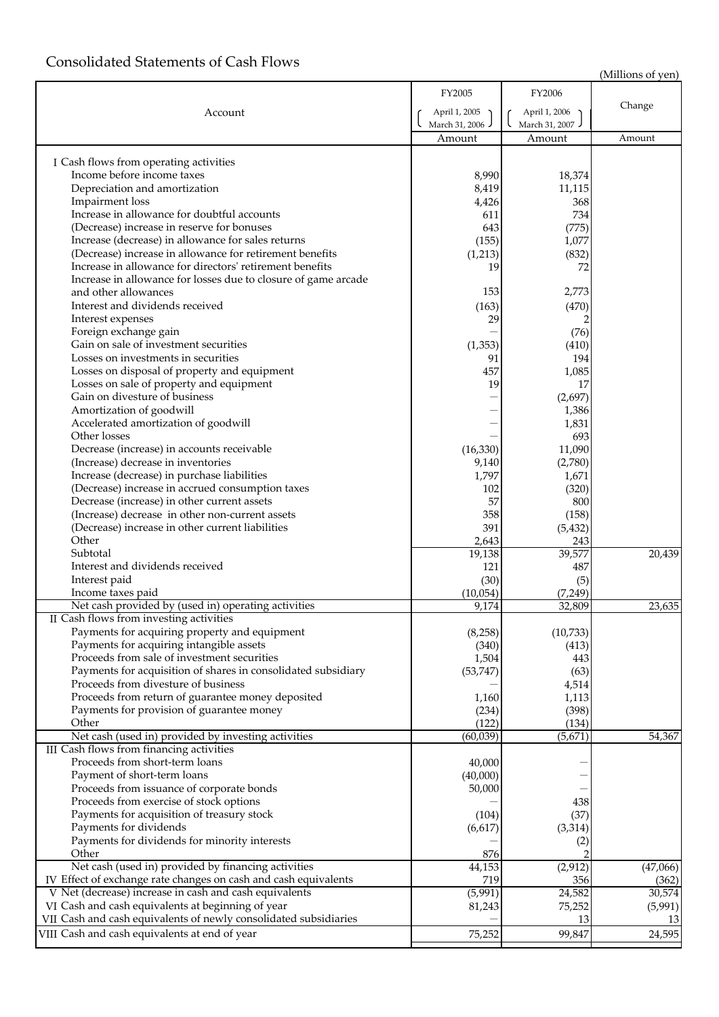# Consolidated Statements of Cash Flows

|                                                                                          | FY2005              | FY2006         |          |
|------------------------------------------------------------------------------------------|---------------------|----------------|----------|
| Account                                                                                  | April 1, 2005       | April 1, 2006  | Change   |
|                                                                                          | March 31, 2006      | March 31, 2007 |          |
|                                                                                          | Amount              | Amount         | Amount   |
|                                                                                          |                     |                |          |
| I Cash flows from operating activities                                                   |                     |                |          |
| Income before income taxes                                                               | 8,990               | 18,374         |          |
| Depreciation and amortization                                                            | 8,419               | 11,115         |          |
| Impairment loss<br>Increase in allowance for doubtful accounts                           | 4,426<br>611        | 368<br>734     |          |
| (Decrease) increase in reserve for bonuses                                               | 643                 | (775)          |          |
| Increase (decrease) in allowance for sales returns                                       | (155)               | 1,077          |          |
| (Decrease) increase in allowance for retirement benefits                                 | (1,213)             | (832)          |          |
| Increase in allowance for directors' retirement benefits                                 | 19                  | 72             |          |
| Increase in allowance for losses due to closure of game arcade                           |                     |                |          |
| and other allowances                                                                     | 153                 | 2,773          |          |
| Interest and dividends received                                                          | (163)               | (470)          |          |
| Interest expenses                                                                        | 29                  |                |          |
| Foreign exchange gain                                                                    |                     | (76)           |          |
| Gain on sale of investment securities                                                    | (1, 353)            | (410)          |          |
| Losses on investments in securities                                                      | 91                  | 194            |          |
| Losses on disposal of property and equipment                                             | 457                 | 1,085          |          |
| Losses on sale of property and equipment                                                 | 19                  | 17             |          |
| Gain on divesture of business                                                            |                     | (2,697)        |          |
| Amortization of goodwill                                                                 |                     | 1,386          |          |
| Accelerated amortization of goodwill<br>Other losses                                     |                     | 1,831<br>693   |          |
| Decrease (increase) in accounts receivable                                               | (16, 330)           | 11,090         |          |
| (Increase) decrease in inventories                                                       | 9,140               | (2,780)        |          |
| Increase (decrease) in purchase liabilities                                              | 1,797               | 1,671          |          |
| (Decrease) increase in accrued consumption taxes                                         | 102                 | (320)          |          |
| Decrease (increase) in other current assets                                              | 57                  | 800            |          |
| (Increase) decrease in other non-current assets                                          | 358                 | (158)          |          |
| (Decrease) increase in other current liabilities                                         | 391                 | (5, 432)       |          |
| Other                                                                                    | 2,643               | 243            |          |
| Subtotal                                                                                 | 19,138              | 39,577         | 20,439   |
| Interest and dividends received                                                          | 121                 | 487            |          |
| Interest paid                                                                            | (30)                | (5)            |          |
| Income taxes paid                                                                        | (10,054)            | (7, 249)       |          |
| Net cash provided by (used in) operating activities                                      | 9,174               | 32,809         | 23,635   |
| II Cash flows from investing activities<br>Payments for acquiring property and equipment | (8, 258)            | (10, 733)      |          |
| Payments for acquiring intangible assets                                                 | (340)               | (413)          |          |
| Proceeds from sale of investment securities                                              | 1,504               | 443            |          |
| Payments for acquisition of shares in consolidated subsidiary                            | (53, 747)           | (63)           |          |
| Proceeds from divesture of business                                                      |                     | 4,514          |          |
| Proceeds from return of guarantee money deposited                                        | 1,160               | 1,113          |          |
| Payments for provision of guarantee money                                                | (234)               | (398)          |          |
| Other                                                                                    | (122)               | (134)          |          |
| Net cash (used in) provided by investing activities                                      | (60, 039)           | (5,671)        | 54,367   |
| III Cash flows from financing activities                                                 |                     |                |          |
| Proceeds from short-term loans                                                           | 40,000              |                |          |
| Payment of short-term loans                                                              | (40,000)            |                |          |
| Proceeds from issuance of corporate bonds                                                | 50,000              |                |          |
| Proceeds from exercise of stock options                                                  |                     | 438            |          |
| Payments for acquisition of treasury stock<br>Payments for dividends                     | (104)               | (37)           |          |
| Payments for dividends for minority interests                                            | (6,617)             | (3, 314)       |          |
| Other                                                                                    | 876                 | (2)            |          |
| Net cash (used in) provided by financing activities                                      | $\overline{44,}153$ | (2, 912)       | (47,066) |
| IV Effect of exchange rate changes on cash and cash equivalents                          | 719                 | 356            | (362)    |
| V Net (decrease) increase in cash and cash equivalents                                   | (5,991)             | 24,582         | 30,574   |
| VI Cash and cash equivalents at beginning of year                                        | 81,243              | 75,252         | (5,991)  |
| VII Cash and cash equivalents of newly consolidated subsidiaries                         |                     | 13             | 13       |
| VIII Cash and cash equivalents at end of year                                            | 75,252              | 99,847         | 24,595   |
|                                                                                          |                     |                |          |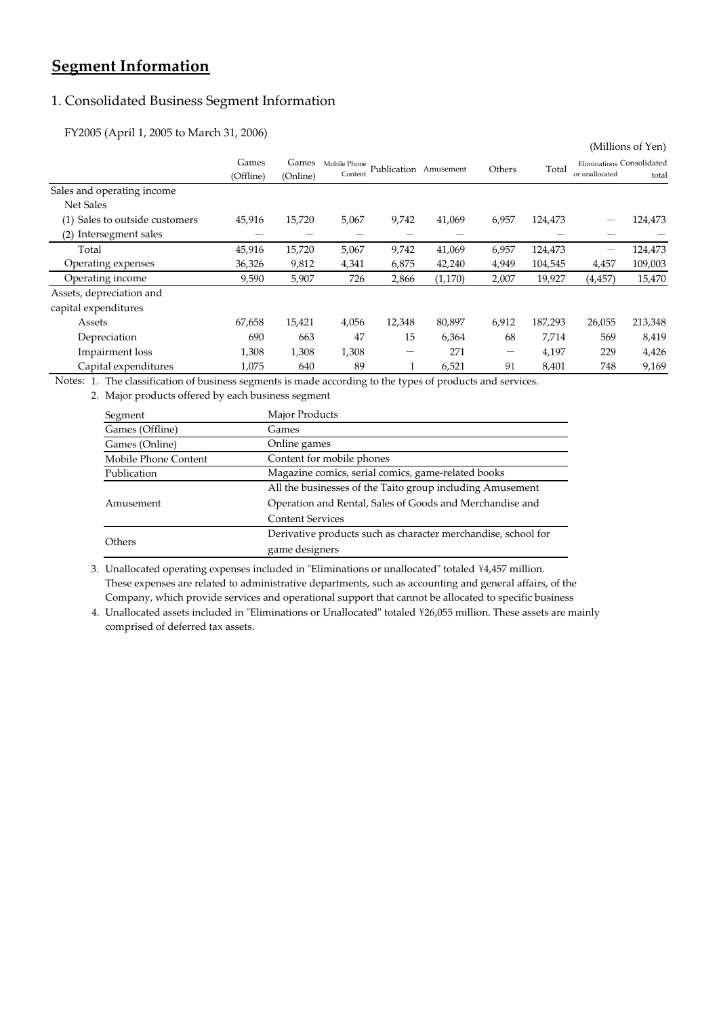# **Segment Information**

## 1. Consolidated Business Segment Information

FY2005 (April 1, 2005 to March 31, 2006)

|                                |           |          |              |                       |         |                          |         |                           | (ivililions of Ten) |
|--------------------------------|-----------|----------|--------------|-----------------------|---------|--------------------------|---------|---------------------------|---------------------|
|                                | Games     | Games    | Mobile Phone | Publication Amusement |         | Others                   | Total   | Eliminations Consolidated |                     |
|                                | (Offline) | (Online) | Content      |                       |         |                          |         | or unallocated            | total               |
| Sales and operating income     |           |          |              |                       |         |                          |         |                           |                     |
| Net Sales                      |           |          |              |                       |         |                          |         |                           |                     |
| (1) Sales to outside customers | 45,916    | 15,720   | 5,067        | 9,742                 | 41,069  | 6,957                    | 124,473 |                           | 124,473             |
| Intersegment sales<br>(2)      |           |          |              |                       |         |                          |         |                           |                     |
| Total                          | 45,916    | 15,720   | 5,067        | 9,742                 | 41,069  | 6,957                    | 124,473 |                           | 124,473             |
| Operating expenses             | 36,326    | 9,812    | 4,341        | 6,875                 | 42,240  | 4,949                    | 104,545 | 4,457                     | 109,003             |
| Operating income               | 9,590     | 5,907    | 726          | 2,866                 | (1,170) | 2,007                    | 19,927  | (4, 457)                  | 15,470              |
| Assets, depreciation and       |           |          |              |                       |         |                          |         |                           |                     |
| capital expenditures           |           |          |              |                       |         |                          |         |                           |                     |
| Assets                         | 67,658    | 15,421   | 4,056        | 12,348                | 80,897  | 6,912                    | 187,293 | 26,055                    | 213,348             |
| Depreciation                   | 690       | 663      | 47           | 15                    | 6,364   | 68                       | 7,714   | 569                       | 8,419               |
| Impairment loss                | 1,308     | 1,308    | 1,308        |                       | 271     | $\overline{\phantom{0}}$ | 4,197   | 229                       | 4,426               |
| Capital expenditures           | 1,075     | 640      | 89           |                       | 6,521   | 91                       | 8,401   | 748                       | 9,169               |

 $\alpha$  and  $\alpha$   $\alpha$ 

Notes: 1. The classification of business segments is made according to the types of products and services.

2. Major products offered by each business segment

| Segment              | Major Products                                                |
|----------------------|---------------------------------------------------------------|
| Games (Offline)      | Games                                                         |
| Games (Online)       | Online games                                                  |
| Mobile Phone Content | Content for mobile phones                                     |
| Publication          | Magazine comics, serial comics, game-related books            |
|                      | All the businesses of the Taito group including Amusement     |
| Amusement            | Operation and Rental, Sales of Goods and Merchandise and      |
|                      | <b>Content Services</b>                                       |
|                      | Derivative products such as character merchandise, school for |
| Others               | game designers                                                |

3. Unallocated operating expenses included in "Eliminations or unallocated" totaled ¥4,457 million. Company, which provide services and operational support that cannot be allocated to specific business These expenses are related to administrative departments, such as accounting and general affairs, of the

4. Unallocated assets included in "Eliminations or Unallocated" totaled \26,055 million. These assets are mainly comprised of deferred tax assets.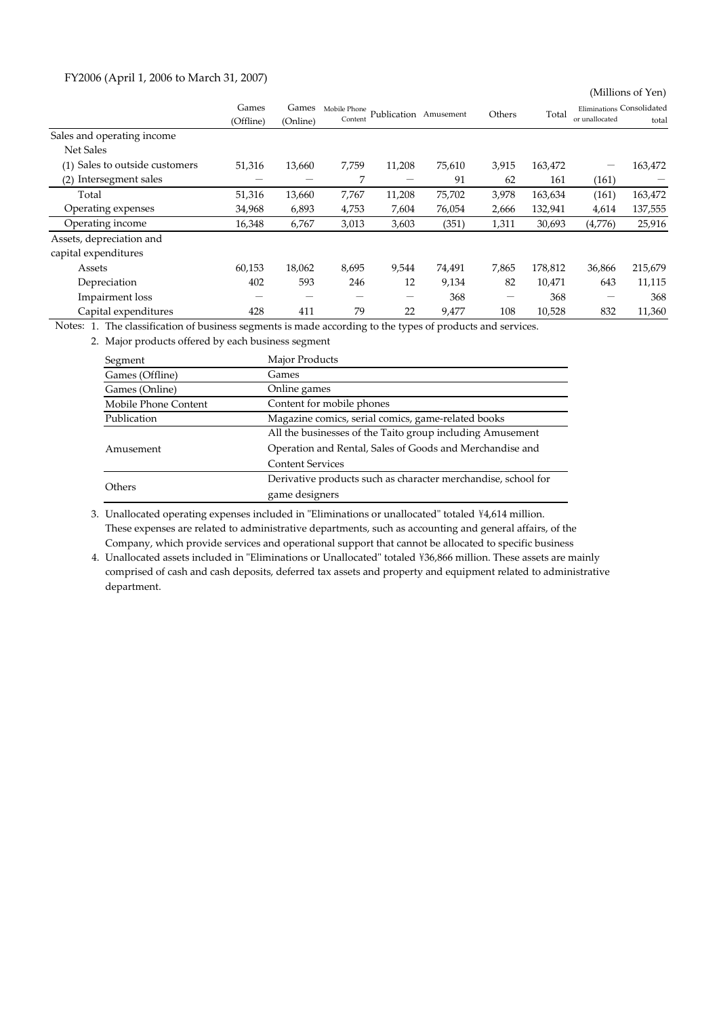### FY2006 (April 1, 2006 to March 31, 2007)

(Millions of Yen)

|                                | Games<br>(Offline) | Games<br>(Online) | Mobile Phone<br>Content | Publication Amusement |        | Others | Total   | Eliminations Consolidated<br>or unallocated | total   |
|--------------------------------|--------------------|-------------------|-------------------------|-----------------------|--------|--------|---------|---------------------------------------------|---------|
| Sales and operating income     |                    |                   |                         |                       |        |        |         |                                             |         |
| Net Sales                      |                    |                   |                         |                       |        |        |         |                                             |         |
| (1) Sales to outside customers | 51,316             | 13,660            | 7,759                   | 11,208                | 75,610 | 3,915  | 163,472 | -                                           | 163,472 |
| Intersegment sales<br>(2)      |                    |                   | 7                       |                       | 91     | 62     | 161     | (161)                                       |         |
| Total                          | 51,316             | 13,660            | 7,767                   | 11,208                | 75,702 | 3,978  | 163,634 | (161)                                       | 163,472 |
| Operating expenses             | 34,968             | 6,893             | 4,753                   | 7,604                 | 76,054 | 2,666  | 132,941 | 4,614                                       | 137,555 |
| Operating income               | 16,348             | 6,767             | 3,013                   | 3,603                 | (351)  | 1,311  | 30,693  | (4,776)                                     | 25,916  |
| Assets, depreciation and       |                    |                   |                         |                       |        |        |         |                                             |         |
| capital expenditures           |                    |                   |                         |                       |        |        |         |                                             |         |
| Assets                         | 60,153             | 18,062            | 8,695                   | 9,544                 | 74,491 | 7,865  | 178,812 | 36,866                                      | 215,679 |
| Depreciation                   | 402                | 593               | 246                     | 12                    | 9,134  | 82     | 10.471  | 643                                         | 11,115  |
| Impairment loss                | –                  | –                 | –                       | -                     | 368    |        | 368     | -                                           | 368     |
| Capital expenditures           | 428                | 411               | 79                      | 22                    | 9,477  | 108    | 10,528  | 832                                         | 11,360  |

Notes: 1. The classification of business segments is made according to the types of products and services.

2. Major products offered by each business segment

| Segment              | Major Products                                                |
|----------------------|---------------------------------------------------------------|
| Games (Offline)      | Games                                                         |
| Games (Online)       | Online games                                                  |
| Mobile Phone Content | Content for mobile phones                                     |
| Publication          | Magazine comics, serial comics, game-related books            |
|                      | All the businesses of the Taito group including Amusement     |
| Amusement            | Operation and Rental, Sales of Goods and Merchandise and      |
|                      | <b>Content Services</b>                                       |
|                      | Derivative products such as character merchandise, school for |
| Others               | game designers                                                |

3. Unallocated operating expenses included in "Eliminations or unallocated" totaled ¥4,614 million. Company, which provide services and operational support that cannot be allocated to specific business These expenses are related to administrative departments, such as accounting and general affairs, of the

4. Unallocated assets included in "Eliminations or Unallocated" totaled \36,866 million. These assets are mainly department. comprised of cash and cash deposits, deferred tax assets and property and equipment related to administrative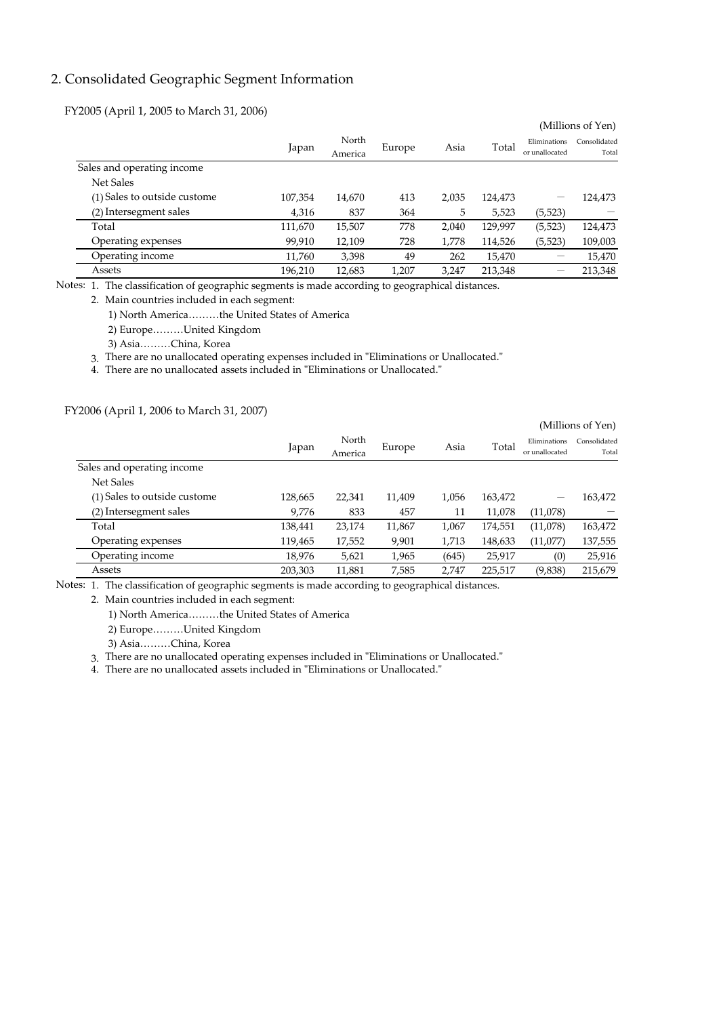### 2. Consolidated Geographic Segment Information

FY2005 (April 1, 2005 to March 31, 2006)

|                              |         |                  |        |       |         |                                | (Millions of Yen)     |
|------------------------------|---------|------------------|--------|-------|---------|--------------------------------|-----------------------|
|                              | Japan   | North<br>America | Europe | Asia  | Total   | Eliminations<br>or unallocated | Consolidated<br>Total |
| Sales and operating income   |         |                  |        |       |         |                                |                       |
| <b>Net Sales</b>             |         |                  |        |       |         |                                |                       |
| (1) Sales to outside custome | 107,354 | 14,670           | 413    | 2,035 | 124,473 | -                              | 124,473               |
| (2) Intersegment sales       | 4,316   | 837              | 364    | 5     | 5,523   | (5,523)                        |                       |
| Total                        | 111,670 | 15,507           | 778    | 2,040 | 129,997 | (5,523)                        | 124,473               |
| Operating expenses           | 99,910  | 12,109           | 728    | 1,778 | 114,526 | (5, 523)                       | 109,003               |
| Operating income             | 11.760  | 3,398            | 49     | 262   | 15,470  |                                | 15,470                |
| Assets                       | 196.210 | 12,683           | 1.207  | 3,247 | 213,348 | -                              | 213,348               |

Notes: 1. The classification of geographic segments is made according to geographical distances.

2. Main countries included in each segment:

1) North America………the United States of America

2) Europe………United Kingdom

3) Asia………China, Korea

3. There are no unallocated operating expenses included in "Eliminations or Unallocated."

4. There are no unallocated assets included in "Eliminations or Unallocated."

FY2006 (April 1, 2006 to March 31, 2007)

|                              |         |         |        |       |         |                | (Millions of Yen) |
|------------------------------|---------|---------|--------|-------|---------|----------------|-------------------|
|                              |         | North   |        | Asia  | Total   | Eliminations   | Consolidated      |
|                              | Japan   | America | Europe |       |         | or unallocated | Total             |
| Sales and operating income   |         |         |        |       |         |                |                   |
| <b>Net Sales</b>             |         |         |        |       |         |                |                   |
| (1) Sales to outside custome | 128,665 | 22,341  | 11,409 | 1,056 | 163,472 |                | 163,472           |
| (2) Intersegment sales       | 9,776   | 833     | 457    | 11    | 11,078  | (11,078)       |                   |
| Total                        | 138,441 | 23,174  | 11,867 | 1,067 | 174,551 | (11,078)       | 163,472           |
| Operating expenses           | 119,465 | 17,552  | 9,901  | 1,713 | 148,633 | (11,077)       | 137,555           |
| Operating income             | 18,976  | 5,621   | 1,965  | (645) | 25,917  | (0)            | 25,916            |
| Assets                       | 203,303 | 11,881  | 7,585  | 2.747 | 225,517 | (9,838)        | 215,679           |

Notes: 1. The classification of geographic segments is made according to geographical distances.

2. Main countries included in each segment:

1) North America………the United States of America

2) Europe………United Kingdom

3) Asia………China, Korea

3. There are no unallocated operating expenses included in "Eliminations or Unallocated."

4. There are no unallocated assets included in "Eliminations or Unallocated."